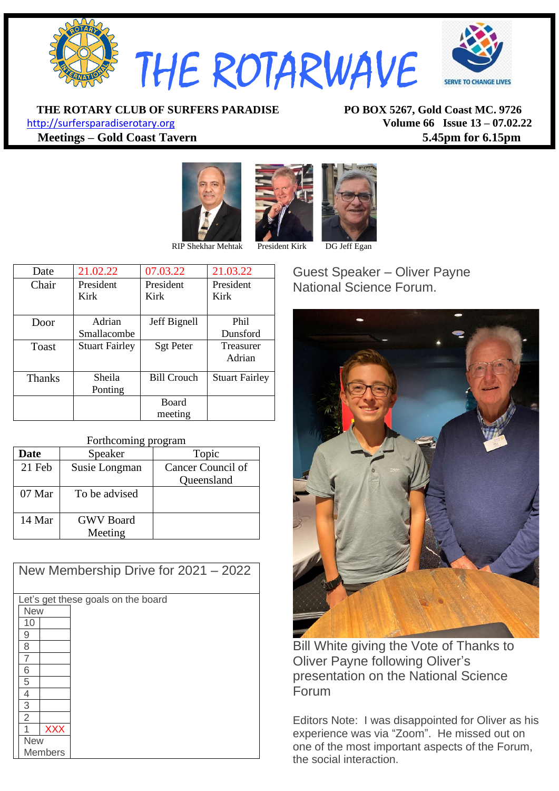

**THE ROTARY CLUB OF SURFERS PARADISE PO BOX 5267, Gold Coast MC. 9726**

[http://surfersparadiserotary.org](http://surfersparadiserotary.org/) **Volume 66 Issue 13 – 07.02.22 Meetings – Gold Coast Tavern 5.45pm for 6.15pm**





| Date          | 21.02.22              | 07.03.22           | 21.03.22              |
|---------------|-----------------------|--------------------|-----------------------|
| Chair         | President             | President          | President             |
|               | Kirk                  | Kirk               | Kirk                  |
|               |                       |                    |                       |
| Door          | Adrian                | Jeff Bignell       | Phil                  |
|               | Smallacombe           |                    | Dunsford              |
| Toast         | <b>Stuart Fairley</b> | <b>Sgt Peter</b>   | Treasurer             |
|               |                       |                    | Adrian                |
|               |                       |                    |                       |
| <b>Thanks</b> | Sheila                | <b>Bill Crouch</b> | <b>Stuart Fairley</b> |
|               | Ponting               |                    |                       |
|               |                       | <b>Board</b>       |                       |
|               |                       | meeting            |                       |

#### Forthcoming program

| <b>Date</b> | Speaker          | Topic             |
|-------------|------------------|-------------------|
| 21 Feb      | Susie Longman    | Cancer Council of |
|             |                  | Queensland        |
| 07 Mar      | To be advised    |                   |
|             |                  |                   |
| 14 Mar      | <b>GWV</b> Board |                   |
|             | Meeting          |                   |

| New Membership Drive for $2021 - 2022$ |  |  |  |  |
|----------------------------------------|--|--|--|--|
| Let's get these goals on the board     |  |  |  |  |
| <b>New</b>                             |  |  |  |  |
| 10                                     |  |  |  |  |
| 9                                      |  |  |  |  |
| 8                                      |  |  |  |  |
| 7                                      |  |  |  |  |
| 6                                      |  |  |  |  |
| 5                                      |  |  |  |  |
| 4                                      |  |  |  |  |
| $\overline{3}$                         |  |  |  |  |
| $\overline{2}$                         |  |  |  |  |
| <b>XXX</b>                             |  |  |  |  |
| <b>New</b>                             |  |  |  |  |
| <b>Members</b>                         |  |  |  |  |

Guest Speaker – Oliver Payne National Science Forum.



Bill White giving the Vote of Thanks to Oliver Payne following Oliver's presentation on the National Science Forum

Editors Note: I was disappointed for Oliver as his experience was via "Zoom". He missed out on one of the most important aspects of the Forum, the social interaction.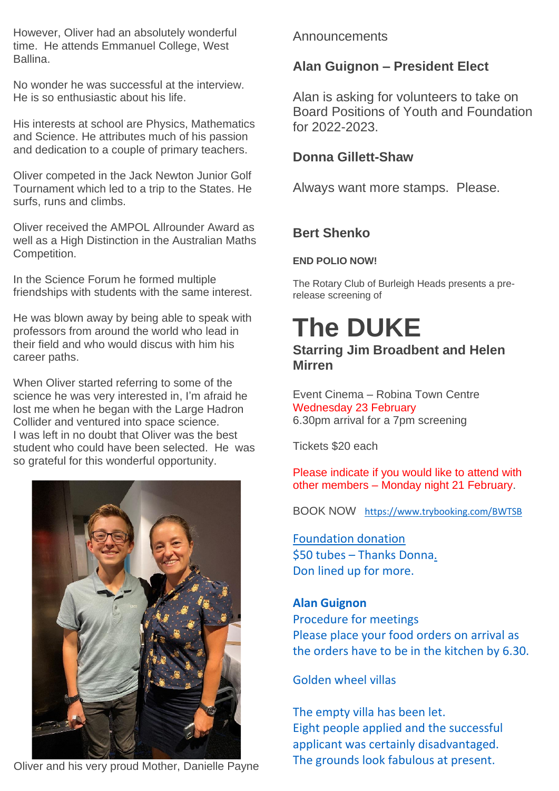However, Oliver had an absolutely wonderful time. He attends Emmanuel College, West Ballina.

No wonder he was successful at the interview. He is so enthusiastic about his life.

His interests at school are Physics, Mathematics and Science. He attributes much of his passion and dedication to a couple of primary teachers.

Oliver competed in the Jack Newton Junior Golf Tournament which led to a trip to the States. He surfs, runs and climbs.

Oliver received the AMPOL Allrounder Award as well as a High Distinction in the Australian Maths Competition.

In the Science Forum he formed multiple friendships with students with the same interest.

He was blown away by being able to speak with professors from around the world who lead in their field and who would discus with him his career paths.

When Oliver started referring to some of the science he was very interested in, I'm afraid he lost me when he began with the Large Hadron Collider and ventured into space science. I was left in no doubt that Oliver was the best student who could have been selected. He was so grateful for this wonderful opportunity.



Oliver and his very proud Mother, Danielle Payne

#### Announcements

#### **Alan Guignon – President Elect**

Alan is asking for volunteers to take on Board Positions of Youth and Foundation for 2022-2023.

#### **Donna Gillett-Shaw**

Always want more stamps. Please.

#### **Bert Shenko**

#### **END POLIO NOW!**

The Rotary Club of Burleigh Heads presents a prerelease screening of

# **The DUKE**

#### **Starring Jim Broadbent and Helen Mirren**

Event Cinema – Robina Town Centre Wednesday 23 February 6.30pm arrival for a 7pm screening

Tickets \$20 each

Please indicate if you would like to attend with other members – Monday night 21 February.

BOOK NOW <https://www.trybooking.com/BWTSB>

#### Foundation donation \$50 tubes – Thanks Donna. Don lined up for more.

#### **Alan Guignon**

Procedure for meetings Please place your food orders on arrival as the orders have to be in the kitchen by 6.30.

#### Golden wheel villas

The empty villa has been let. Eight people applied and the successful applicant was certainly disadvantaged. The grounds look fabulous at present.